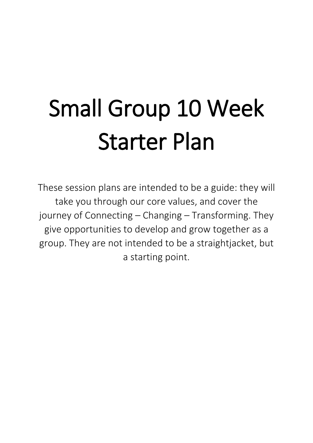# Small Group 10 Week Starter Plan

These session plans are intended to be a guide: they will take you through our core values, and cover the journey of Connecting – Changing – Transforming. They give opportunities to develop and grow together as a group. They are not intended to be a straightjacket, but a starting point.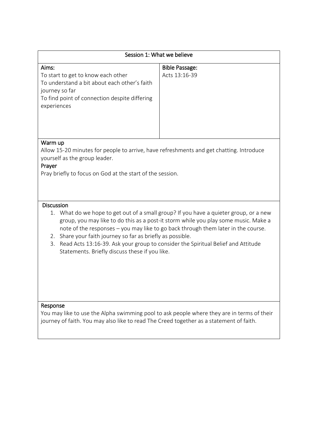| Session 1: What we believe                    |                       |
|-----------------------------------------------|-----------------------|
| Aims:                                         | <b>Bible Passage:</b> |
| To start to get to know each other            | Acts 13:16-39         |
| To understand a bit about each other's faith  |                       |
| journey so far                                |                       |
| To find point of connection despite differing |                       |
| experiences                                   |                       |
|                                               |                       |
|                                               |                       |
|                                               |                       |

# Warm up

Allow 15-20 minutes for people to arrive, have refreshments and get chatting. Introduce yourself as the group leader.

#### Prayer

Pray briefly to focus on God at the start of the session.

#### **Discussion**

- 1. What do we hope to get out of a small group? If you have a quieter group, or a new group, you may like to do this as a post-it storm while you play some music. Make a note of the responses – you may like to go back through them later in the course.
- 2. Share your faith journey so far as briefly as possible.
- 3. Read Acts 13:16-39. Ask your group to consider the Spiritual Belief and Attitude Statements. Briefly discuss these if you like.

#### Response

You may like to use the Alpha swimming pool to ask people where they are in terms of their journey of faith. You may also like to read The Creed together as a statement of faith.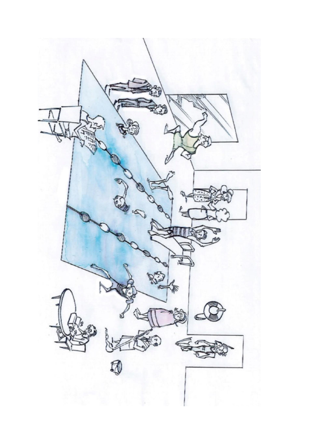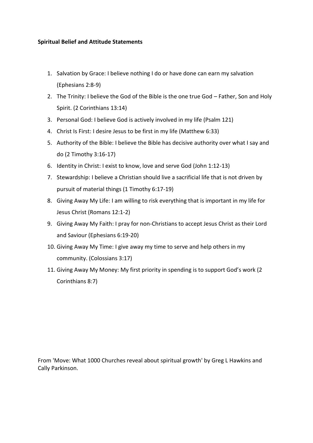#### **Spiritual Belief and Attitude Statements**

- 1. Salvation by Grace: I believe nothing I do or have done can earn my salvation (Ephesians 2:8-9)
- 2. The Trinity: I believe the God of the Bible is the one true God Father, Son and Holy Spirit. (2 Corinthians 13:14)
- 3. Personal God: I believe God is actively involved in my life (Psalm 121)
- 4. Christ Is First: I desire Jesus to be first in my life (Matthew 6:33)
- 5. Authority of the Bible: I believe the Bible has decisive authority over what I say and do (2 Timothy 3:16-17)
- 6. Identity in Christ: I exist to know, love and serve God (John 1:12-13)
- 7. Stewardship: I believe a Christian should live a sacrificial life that is not driven by pursuit of material things (1 Timothy 6:17-19)
- 8. Giving Away My Life: I am willing to risk everything that is important in my life for Jesus Christ (Romans 12:1-2)
- 9. Giving Away My Faith: I pray for non-Christians to accept Jesus Christ as their Lord and Saviour (Ephesians 6:19-20)
- 10. Giving Away My Time: I give away my time to serve and help others in my community. (Colossians 3:17)
- 11. Giving Away My Money: My first priority in spending is to support God's work (2 Corinthians 8:7)

From 'Move: What 1000 Churches reveal about spiritual growth' by Greg L Hawkins and Cally Parkinson.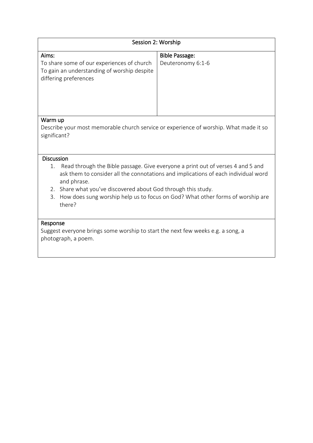| Session 2: Worship                                                                                                                                                                                        |                       |
|-----------------------------------------------------------------------------------------------------------------------------------------------------------------------------------------------------------|-----------------------|
| Aims:                                                                                                                                                                                                     | <b>Bible Passage:</b> |
| To share some of our experiences of church<br>To gain an understanding of worship despite<br>differing preferences                                                                                        | Deuteronomy 6:1-6     |
| Warm up<br>Describe your most memorable church service or experience of worship. What made it so<br>significant?                                                                                          |                       |
| <b>Discussion</b><br>Read through the Bible passage. Give everyone a print out of verses 4 and 5 and<br>ask them to consider all the connotations and implications of each individual word<br>and phrase. |                       |

- 2. Share what you've discovered about God through this study.
- 3. How does sung worship help us to focus on God? What other forms of worship are there?

#### Response

Suggest everyone brings some worship to start the next few weeks e.g. a song, a photograph, a poem.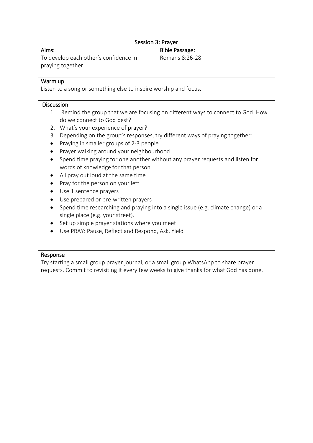| Session 3: Prayer                                                                       |                                                                                |
|-----------------------------------------------------------------------------------------|--------------------------------------------------------------------------------|
| Aims:                                                                                   | <b>Bible Passage:</b>                                                          |
| To develop each other's confidence in                                                   | Romans 8:26-28                                                                 |
| praying together.                                                                       |                                                                                |
|                                                                                         |                                                                                |
| Warm up                                                                                 |                                                                                |
| Listen to a song or something else to inspire worship and focus.                        |                                                                                |
|                                                                                         |                                                                                |
| <b>Discussion</b>                                                                       |                                                                                |
| 1.                                                                                      | Remind the group that we are focusing on different ways to connect to God. How |
| do we connect to God best?                                                              |                                                                                |
| 2. What's your experience of prayer?                                                    |                                                                                |
| Depending on the group's responses, try different ways of praying together:<br>3.       |                                                                                |
| Praying in smaller groups of 2-3 people                                                 |                                                                                |
| Prayer walking around your neighbourhood<br>$\bullet$                                   |                                                                                |
| Spend time praying for one another without any prayer requests and listen for           |                                                                                |
| words of knowledge for that person                                                      |                                                                                |
| All pray out loud at the same time                                                      |                                                                                |
| Pray for the person on your left                                                        |                                                                                |
| Use 1 sentence prayers                                                                  |                                                                                |
| Use prepared or pre-written prayers                                                     |                                                                                |
| Spend time researching and praying into a single issue (e.g. climate change) or a       |                                                                                |
| single place (e.g. your street).                                                        |                                                                                |
| Set up simple prayer stations where you meet                                            |                                                                                |
| Use PRAY: Pause, Reflect and Respond, Ask, Yield                                        |                                                                                |
|                                                                                         |                                                                                |
|                                                                                         |                                                                                |
| Response                                                                                |                                                                                |
| Try starting a small group prayer journal, or a small group WhatsApp to share prayer    |                                                                                |
| requests. Commit to revisiting it every few weeks to give thanks for what God has done. |                                                                                |
|                                                                                         |                                                                                |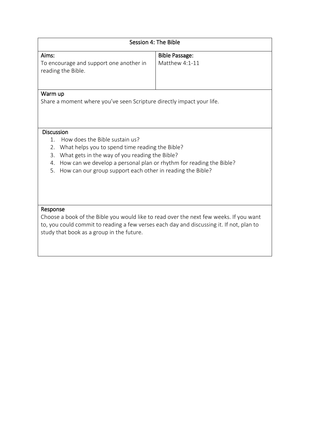| Session 4: The Bible                                                  |                       |
|-----------------------------------------------------------------------|-----------------------|
| Aims:                                                                 | <b>Bible Passage:</b> |
| To encourage and support one another in<br>reading the Bible.         | Matthew 4:1-11        |
| Warm up                                                               |                       |
| Share a moment where you've seen Scripture directly impact your life. |                       |

#### **Discussion**

- 1. How does the Bible sustain us?
- 2. What helps you to spend time reading the Bible?
- 3. What gets in the way of you reading the Bible?
- 4. How can we develop a personal plan or rhythm for reading the Bible?
- 5. How can our group support each other in reading the Bible?

#### Response

Choose a book of the Bible you would like to read over the next few weeks. If you want to, you could commit to reading a few verses each day and discussing it. If not, plan to study that book as a group in the future.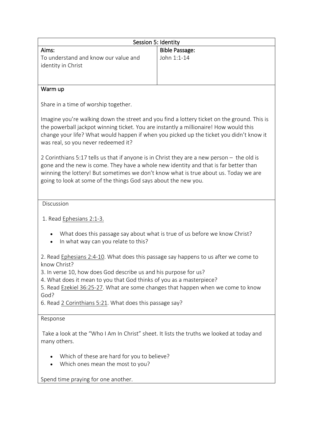| Session 5: Identity                  |                       |
|--------------------------------------|-----------------------|
| Aims:                                | <b>Bible Passage:</b> |
| To understand and know our value and | John 1:1-14           |
| identity in Christ                   |                       |
|                                      |                       |
|                                      |                       |

# Warm up

Share in a time of worship together.

Imagine you're walking down the street and you find a lottery ticket on the ground. This is the powerball jackpot winning ticket. You are instantly a millionaire! How would this change your life? What would happen if when you picked up the ticket you didn't know it was real, so you never redeemed it?

2 Corinthians 5:17 tells us that if anyone is in Christ they are a new person – the old is gone and the new is come. They have a whole new identity and that is far better than winning the lottery! But sometimes we don't know what is true about us. Today we are going to look at some of the things God says about the new you.

#### Discussion

1. Read [Ephesians](https://www.biblegateway.com/passage/?search=Ephesians+2%3A1-3&version=NIV) 2:1-3.

- What does this passage say about what is true of us before we know Christ?
- In what way can you relate to this?

2. Read [Ephesians](https://www.biblegateway.com/passage/?search=Eph+2%3A1-10&version=NLT) 2:4-10. What does this passage say happens to us after we come to know Christ?

3. In verse 10, how does God describe us and his purpose for us?

4. What does it mean to you that God thinks of you as a masterpiece?

5. Read Ezekiel [36:25-27.](https://www.biblegateway.com/passage/?search=Ezekiel+36%3A25-27&version=NIV) What are some changes that happen when we come to know God?

6. Read 2 [Corinthians](https://www.biblegateway.com/passage/?search=2+Corinthians+5%3A21&version=NIV) 5:21. What does this passage say?

#### Response

Take a look at the "Who I Am In Christ" sheet. It lists the truths we looked at today and many others.

- Which of these are hard for you to believe?
- Which ones mean the most to you?

Spend time praying for one another.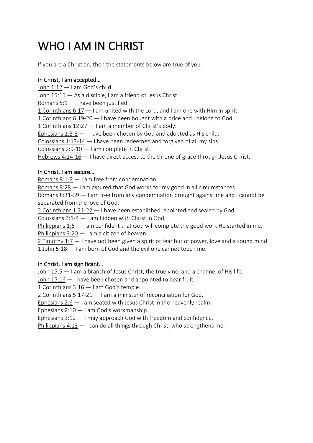# WHO I AM IN CHRIST

If you are a Christian, then the statements below are true of you.

# In Christ, I am accepted…

[John](https://www.biblegateway.com/passage/?search=John+1%3A12&version=NIV) 1:12 — I am God's child.

John [15:15](https://www.biblegateway.com/passage/?search=John+15%3A15&version=NIV) — As a disciple, I am a friend of Jesus Christ.

[Romans](https://www.biblegateway.com/passage/?search=Romans+5%3A1&version=NIV)  $5:1 - 1$  have been justified.

1 [Corinthians](https://www.biblegateway.com/passage/?search=1+Corinthians+6%3A17&version=NIV) 6:17 — I am united with the Lord, and I am one with Him in spirit.

1 [Corinthians](https://www.biblegateway.com/passage/?search=1+Corinthians+6%3A19-20&version=NIV) 6:19-20 — I have been bought with a price and I belong to God.

1 [Corinthians](https://www.biblegateway.com/passage/?search=1+Corinthians+12%3A27&version=NIV) 12:27 — I am a member of Christ's body.

[Ephesians](https://www.biblegateway.com/passage/?search=Ephesians+1%3A3-8&version=NIV) 1:3-8 — I have been chosen by God and adopted as His child.

[Colossians](https://www.biblegateway.com/passage/?search=Colossians+1%3A13-14&version=NIV) 1:13-14 — I have been redeemed and forgiven of all my sins.

[Colossians](https://www.biblegateway.com/passage/?search=Colossians+2%3A9-10&version=NIV) 2:9-10 — I am complete in Christ.

[Hebrews](https://www.biblegateway.com/passage/?search=Hebrews+4%3A14-16&version=NIV) 4:14-16 — I have direct access to the throne of grace through Jesus Christ.

# In Christ, I am secure…

[Romans](https://www.biblegateway.com/passage/?search=Romans+8%3A1-2&version=NIV) 8:1-2 — I am free from condemnation.

[Romans](https://www.biblegateway.com/passage/?search=Romans+8%3A28&version=NIV) 8:28 — I am assured that God works for my good in all circumstances.

[Romans](https://www.biblegateway.com/passage/?search=Romans+8%3A31-39&version=NIV) 8:31-39 — I am free from any condemnation brought against me and I cannot be separated from the love of God.

2 [Corinthians](https://www.biblegateway.com/passage/?search=2+Corinthians+1%3A21-22&version=NIV) 1:21-22 — I have been established, anointed and sealed by God. [Colossians](https://www.biblegateway.com/passage/?search=Colossians+3%3A1-4&version=NIV) 3:1-4 — I am hidden with Christ in God.

[Philippians](https://www.biblegateway.com/passage/?search=Philippians+1%3A6&version=NIV)  $1:6 - 1$  am confident that God will complete the good work He started in me. [Philippians](https://www.biblegateway.com/passage/?search=Philippians+3%3A20&version=NIV) 3:20 — I am a citizen of heaven.

2 [Timothy](https://www.biblegateway.com/passage/?search=2+Timothy+1%3A7&version=NIV) 1:7 — I have not been given a spirit of fear but of power, love and a sound mind. 1 [John](https://www.biblegateway.com/passage/?search=1+John+5%3A18&version=NIV) 5:18 — I am born of God and the evil one cannot touch me.

# In Christ, I am significant…

[John](https://www.biblegateway.com/passage/?search=John+15%3A5&version=NIV) 15:5 — I am a branch of Jesus Christ, the true vine, and a channel of His life.

John [15:16](https://www.biblegateway.com/passage/?search=John+15%3A16&version=NIV) — I have been chosen and appointed to bear fruit.

1 [Corinthians](https://www.biblegateway.com/passage/?search=1+Corinthians+3%3A16&version=NIV) 3:16 — I am God's temple.

2 [Corinthians](https://www.biblegateway.com/passage/?search=2+Corinthians+5%3A17-21&version=NIV)  $5:17-21$  – I am a minister of reconciliation for God.

[Ephesians](https://www.biblegateway.com/passage/?search=Ephesians+2%3A6&version=NIV) 2:6  $-$  I am seated with Jesus Christ in the heavenly realm.

[Ephesians](https://www.biblegateway.com/passage/?search=Ephesians+2%3A10&version=NIV) 2:10 — I am God's workmanship.

[Ephesians](https://www.biblegateway.com/passage/?search=Ephesians+3%3A12&version=NIV) 3:12 — I may approach God with freedom and confidence.

[Philippians](https://www.biblegateway.com/passage/?search=Philippians+4%3A13&version=NIV) 4:13 — I can do all things through Christ, who strengthens me.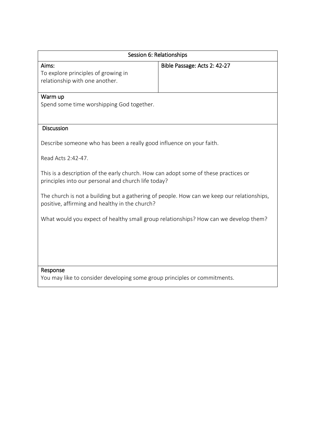| Session 6: Relationships                                                                                                                     |                              |
|----------------------------------------------------------------------------------------------------------------------------------------------|------------------------------|
| Aims:<br>To explore principles of growing in<br>relationship with one another.                                                               | Bible Passage: Acts 2: 42-27 |
| Warm up                                                                                                                                      |                              |
| Spend some time worshipping God together.                                                                                                    |                              |
| <b>Discussion</b>                                                                                                                            |                              |
| Describe someone who has been a really good influence on your faith.                                                                         |                              |
| Read Acts 2:42-47.                                                                                                                           |                              |
| This is a description of the early church. How can adopt some of these practices or<br>principles into our personal and church life today?   |                              |
| The church is not a building but a gathering of people. How can we keep our relationships,<br>positive, affirming and healthy in the church? |                              |
| What would you expect of healthy small group relationships? How can we develop them?                                                         |                              |
|                                                                                                                                              |                              |
|                                                                                                                                              |                              |
| Response<br>You may like to consider developing some group principles or commitments.                                                        |                              |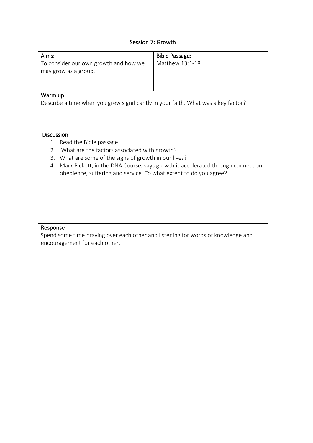| Session 7: Growth                     |                       |
|---------------------------------------|-----------------------|
| Aims:                                 | <b>Bible Passage:</b> |
| To consider our own growth and how we | Matthew 13:1-18       |
| may grow as a group.                  |                       |
|                                       |                       |
|                                       |                       |
| Warm up                               |                       |

Describe a time when you grew significantly in your faith. What was a key factor?

#### **Discussion**

- 1. Read the Bible passage.
- 2. What are the factors associated with growth?
- 3. What are some of the signs of growth in our lives?
- 4. Mark Pickett, in the DNA Course, says growth is accelerated through connection, obedience, suffering and service. To what extent to do you agree?

#### Response

Spend some time praying over each other and listening for words of knowledge and encouragement for each other.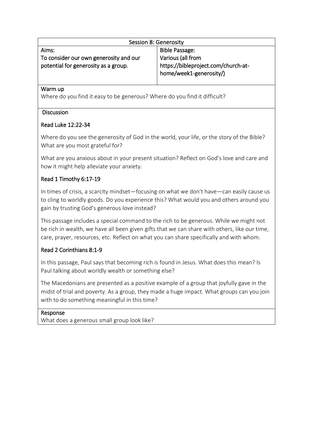| Session 8: Generosity                  |                                     |
|----------------------------------------|-------------------------------------|
| Aims:                                  | <b>Bible Passage:</b>               |
| To consider our own generosity and our | Various (all from                   |
| potential for generosity as a group.   | https://bibleproject.com/church-at- |
|                                        | home/week1-generosity/)             |
|                                        |                                     |

### Warm up

Where do you find it easy to be generous? Where do you find it difficult?

# **Discussion**

# Read Luke 12:22-34

Where do you see the generosity of God in the world, your life, or the story of the [Bible?](https://bibleproject.com/videos/the-story-of-the-bible/) What are you most grateful for?

What are you anxious about in your present situation? Reflect on God's love and care and how it might help alleviate your anxiety.

# Read [1 Timothy 6:17-19](https://bibleproject.com/church-at-home/week1-generosity/#ref-1_Timothy_6:17-19)

In times of crisis, a scarcity mindset—focusing on what we don't have—can easily cause us to cling to worldly goods. Do you experience this? What would you and others around you gain by trusting God's generous love instead?

This passage includes a special command to the rich to be generous. While we might not be rich in wealth, we have all been given gifts that we can share with others, like our time, care, [prayer,](https://bibleproject.com/explore/shema-listen/) resources, etc. Reflect on what you can share specifically and with whom.

# Read [2 Corinthians 8:1-9](https://bibleproject.com/church-at-home/week1-generosity/#ref-2_Corinthians_8:1-9)

In this passage, Paul says that becoming rich is found in Jesus. What does this mean? Is Paul talking about worldly wealth or something else?

The Macedonians are presented as a positive example of a group that joyfully gave in the midst of trial and poverty. As a group, they made a huge impact. What groups can you join with to do something meaningful in this time?

# Response

What does a generous small group look like?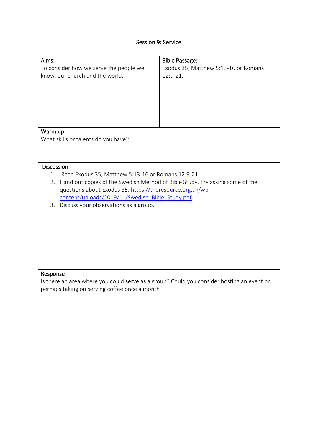| Session 9: Service                                                                                                                                                                                                                                                                                                                 |                                                                             |
|------------------------------------------------------------------------------------------------------------------------------------------------------------------------------------------------------------------------------------------------------------------------------------------------------------------------------------|-----------------------------------------------------------------------------|
|                                                                                                                                                                                                                                                                                                                                    |                                                                             |
| Aims:<br>To consider how we serve the people we<br>know, our church and the world.                                                                                                                                                                                                                                                 | <b>Bible Passage:</b><br>Exodus 35, Matthew 5:13-16 or Romans<br>$12:9-21.$ |
| Warm up<br>What skills or talents do you have?                                                                                                                                                                                                                                                                                     |                                                                             |
| <b>Discussion</b><br>Read Exodus 35, Matthew 5:13-16 or Romans 12:9-21.<br>1.<br>Hand out copies of the Swedish Method of Bible Study. Try asking some of the<br>2.<br>questions about Exodus 35. https://theresource.org.uk/wp-<br>content/uploads/2019/11/Swedish Bible Study.pdf<br>Discuss your observations as a group.<br>3. |                                                                             |
| Response<br>Is there an area where you could serve as a group? Could you consider hosting an event or<br>perhaps taking on serving coffee once a month?                                                                                                                                                                            |                                                                             |